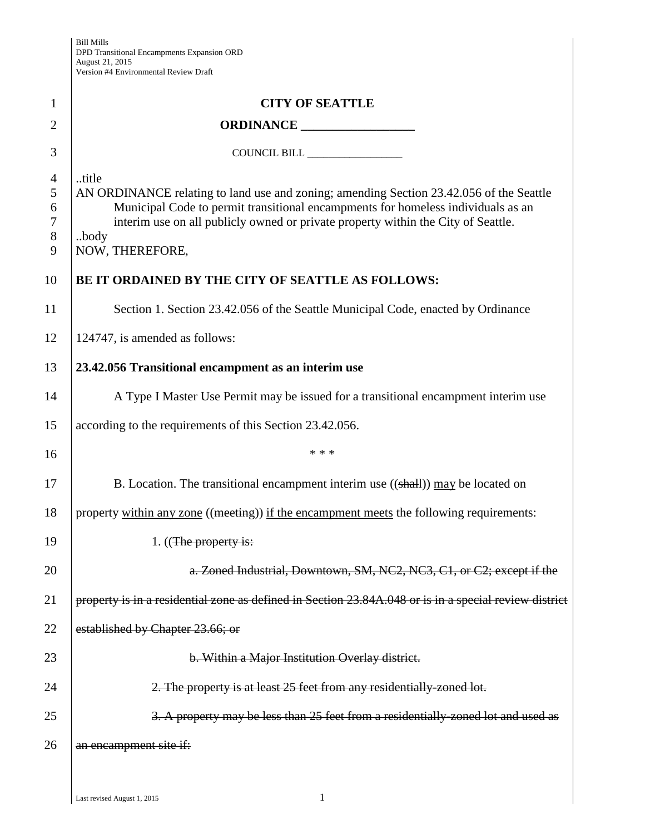| 1                                       | <b>CITY OF SEATTLE</b>                                                                                                                                                                                                                                                                               |  |  |  |
|-----------------------------------------|------------------------------------------------------------------------------------------------------------------------------------------------------------------------------------------------------------------------------------------------------------------------------------------------------|--|--|--|
| $\overline{2}$                          |                                                                                                                                                                                                                                                                                                      |  |  |  |
| 3                                       | COUNCIL BILL                                                                                                                                                                                                                                                                                         |  |  |  |
| $\overline{4}$<br>5<br>6<br>7<br>8<br>9 | title<br>AN ORDINANCE relating to land use and zoning; amending Section 23.42.056 of the Seattle<br>Municipal Code to permit transitional encampments for homeless individuals as an<br>interim use on all publicly owned or private property within the City of Seattle.<br>body<br>NOW, THEREFORE, |  |  |  |
| 10                                      | BE IT ORDAINED BY THE CITY OF SEATTLE AS FOLLOWS:                                                                                                                                                                                                                                                    |  |  |  |
| 11                                      | Section 1. Section 23.42.056 of the Seattle Municipal Code, enacted by Ordinance                                                                                                                                                                                                                     |  |  |  |
| 12                                      | 124747, is amended as follows:                                                                                                                                                                                                                                                                       |  |  |  |
| 13                                      | 23.42.056 Transitional encampment as an interim use                                                                                                                                                                                                                                                  |  |  |  |
| 14                                      | A Type I Master Use Permit may be issued for a transitional encampment interim use                                                                                                                                                                                                                   |  |  |  |
| 15                                      | according to the requirements of this Section 23.42.056.                                                                                                                                                                                                                                             |  |  |  |
| 16                                      | * * *                                                                                                                                                                                                                                                                                                |  |  |  |
| 17                                      | B. Location. The transitional encampment interim use $((shall))$ may be located on                                                                                                                                                                                                                   |  |  |  |
| 18                                      | property within any zone ((meeting)) if the encampment meets the following requirements:                                                                                                                                                                                                             |  |  |  |
| 19                                      | 1. $((The property is:$                                                                                                                                                                                                                                                                              |  |  |  |
| 20                                      | a. Zoned Industrial, Downtown, SM, NC2, NC3, C1, or C2; except if the                                                                                                                                                                                                                                |  |  |  |
| 21                                      | property is in a residential zone as defined in Section 23.84A.048 or is in a special review district                                                                                                                                                                                                |  |  |  |
| 22                                      | established by Chapter 23.66; or                                                                                                                                                                                                                                                                     |  |  |  |
| 23                                      | b. Within a Major Institution Overlay district.                                                                                                                                                                                                                                                      |  |  |  |
| 24                                      | 2. The property is at least 25 feet from any residentially zoned lot.                                                                                                                                                                                                                                |  |  |  |
| 25                                      | 3. A property may be less than 25 feet from a residentially-zoned lot and used as                                                                                                                                                                                                                    |  |  |  |
| 26                                      | an encampment site if:                                                                                                                                                                                                                                                                               |  |  |  |
|                                         |                                                                                                                                                                                                                                                                                                      |  |  |  |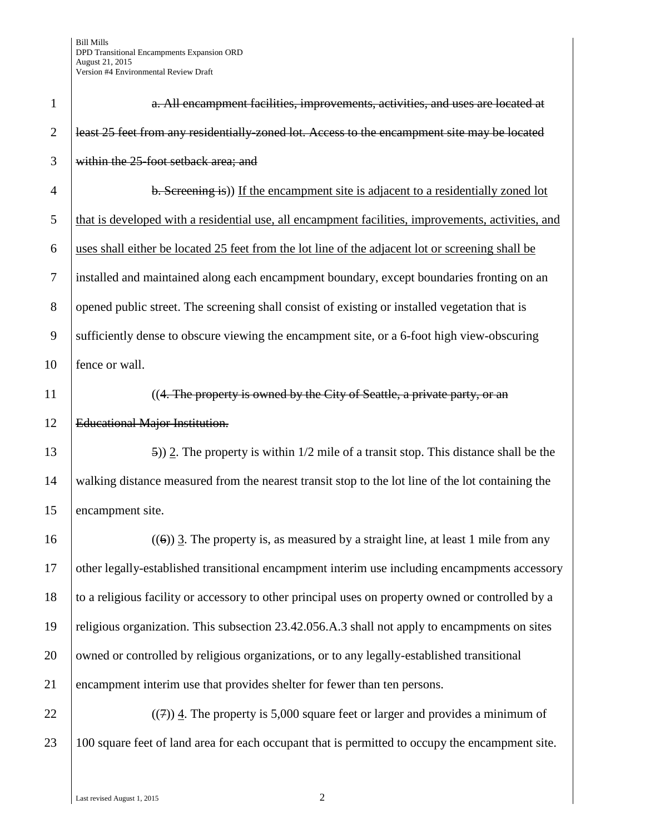| $\mathbf{1}$   | a. All encampment facilities, improvements, activities, and uses are located at                    |
|----------------|----------------------------------------------------------------------------------------------------|
| $\overline{2}$ | least 25 feet from any residentially-zoned lot. Access to the encampment site may be located       |
| 3              | within the 25-foot setback area; and                                                               |
| $\overline{4}$ | b. Screening is)) If the encampment site is adjacent to a residentially zoned lot                  |
| 5              | that is developed with a residential use, all encampment facilities, improvements, activities, and |
| 6              | uses shall either be located 25 feet from the lot line of the adjacent lot or screening shall be   |
| $\tau$         | installed and maintained along each encampment boundary, except boundaries fronting on an          |
| 8              | opened public street. The screening shall consist of existing or installed vegetation that is      |
| 9              | sufficiently dense to obscure viewing the encampment site, or a 6-foot high view-obscuring         |
| 10             | fence or wall.                                                                                     |
| 11             | ((4. The property is owned by the City of Seattle, a private party, or an                          |
| 12             | <b>Educational Major Institution.</b>                                                              |
| 13             | $(5)$ ) 2. The property is within 1/2 mile of a transit stop. This distance shall be the           |
| 14             | walking distance measured from the nearest transit stop to the lot line of the lot containing the  |
| 15             | encampment site.                                                                                   |
| 16             | $((6))$ 3. The property is, as measured by a straight line, at least 1 mile from any               |
| 17             | other legally-established transitional encampment interim use including encampments accessory      |
| 18             | to a religious facility or accessory to other principal uses on property owned or controlled by a  |
| 19             | religious organization. This subsection 23.42.056.A.3 shall not apply to encampments on sites      |
| 20             | owned or controlled by religious organizations, or to any legally-established transitional         |
| 21             | encampment interim use that provides shelter for fewer than ten persons.                           |
| 22             | $((7))$ 4. The property is 5,000 square feet or larger and provides a minimum of                   |
| 23             | 100 square feet of land area for each occupant that is permitted to occupy the encampment site.    |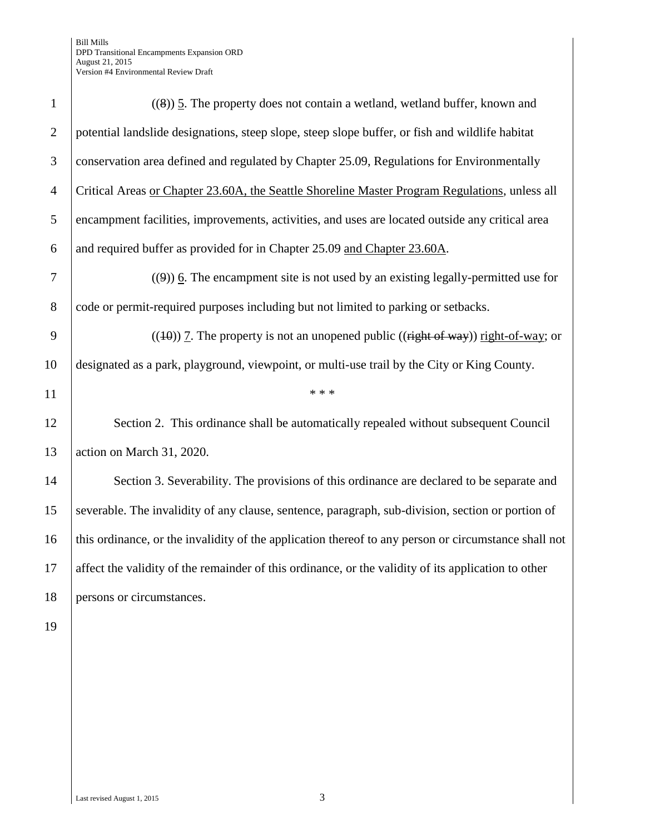| $\mathbf{1}$   | $((8))$ 5. The property does not contain a wetland, wetland buffer, known and                        |  |  |  |
|----------------|------------------------------------------------------------------------------------------------------|--|--|--|
| $\overline{2}$ | potential landslide designations, steep slope, steep slope buffer, or fish and wildlife habitat      |  |  |  |
| 3              | conservation area defined and regulated by Chapter 25.09, Regulations for Environmentally            |  |  |  |
| $\overline{4}$ | Critical Areas or Chapter 23.60A, the Seattle Shoreline Master Program Regulations, unless all       |  |  |  |
| 5              | encampment facilities, improvements, activities, and uses are located outside any critical area      |  |  |  |
| 6              | and required buffer as provided for in Chapter 25.09 and Chapter 23.60A.                             |  |  |  |
| 7              | $(9)$ ) 6. The encampment site is not used by an existing legally-permitted use for                  |  |  |  |
| $8\phantom{.}$ | code or permit-required purposes including but not limited to parking or setbacks.                   |  |  |  |
| 9              | $((10))$ 7. The property is not an unopened public ((right of way)) right-of-way; or                 |  |  |  |
| 10             | designated as a park, playground, viewpoint, or multi-use trail by the City or King County.          |  |  |  |
| 11             | * * *                                                                                                |  |  |  |
| 12             | Section 2. This ordinance shall be automatically repealed without subsequent Council                 |  |  |  |
| 13             | action on March 31, 2020.                                                                            |  |  |  |
| 14             | Section 3. Severability. The provisions of this ordinance are declared to be separate and            |  |  |  |
| 15             | severable. The invalidity of any clause, sentence, paragraph, sub-division, section or portion of    |  |  |  |
| 16             | this ordinance, or the invalidity of the application thereof to any person or circumstance shall not |  |  |  |
| 17             | affect the validity of the remainder of this ordinance, or the validity of its application to other  |  |  |  |
| 18             | persons or circumstances.                                                                            |  |  |  |
| 19             |                                                                                                      |  |  |  |
|                |                                                                                                      |  |  |  |
|                |                                                                                                      |  |  |  |